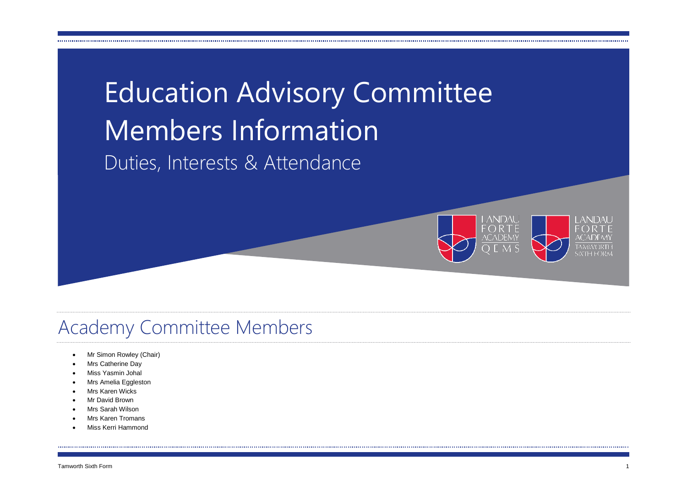



#### Academy Committee Members

- Mr Simon Rowley (Chair)
- Mrs Catherine Day
- Miss Yasmin Johal
- Mrs Amelia Eggleston
- Mrs Karen Wicks
- Mr David Brown
- Mrs Sarah Wilson
- Mrs Karen Tromans
- Miss Kerri Hammond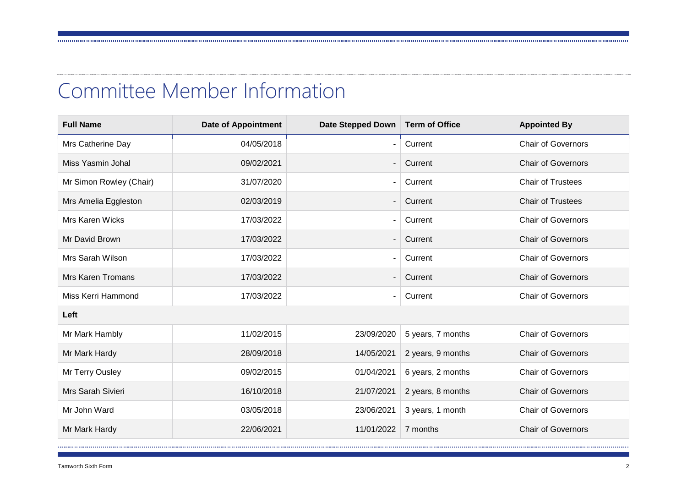#### Committee Member Information

| <b>Full Name</b>         | <b>Date of Appointment</b> | Date Stepped Down | <b>Term of Office</b> | <b>Appointed By</b>       |
|--------------------------|----------------------------|-------------------|-----------------------|---------------------------|
| Mrs Catherine Day        | 04/05/2018                 |                   | Current               | <b>Chair of Governors</b> |
| Miss Yasmin Johal        | 09/02/2021                 |                   | Current               | <b>Chair of Governors</b> |
| Mr Simon Rowley (Chair)  | 31/07/2020                 |                   | Current               | <b>Chair of Trustees</b>  |
| Mrs Amelia Eggleston     | 02/03/2019                 |                   | Current               | <b>Chair of Trustees</b>  |
| Mrs Karen Wicks          | 17/03/2022                 |                   | Current               | <b>Chair of Governors</b> |
| Mr David Brown           | 17/03/2022                 |                   | Current               | <b>Chair of Governors</b> |
| Mrs Sarah Wilson         | 17/03/2022                 |                   | Current               | <b>Chair of Governors</b> |
| <b>Mrs Karen Tromans</b> | 17/03/2022                 |                   | Current               | <b>Chair of Governors</b> |
| Miss Kerri Hammond       | 17/03/2022                 |                   | Current               | <b>Chair of Governors</b> |
| Left                     |                            |                   |                       |                           |
| Mr Mark Hambly           | 11/02/2015                 | 23/09/2020        | 5 years, 7 months     | <b>Chair of Governors</b> |
| Mr Mark Hardy            | 28/09/2018                 | 14/05/2021        | 2 years, 9 months     | <b>Chair of Governors</b> |
| Mr Terry Ousley          | 09/02/2015                 | 01/04/2021        | 6 years, 2 months     | <b>Chair of Governors</b> |
| Mrs Sarah Sivieri        | 16/10/2018                 | 21/07/2021        | 2 years, 8 months     | <b>Chair of Governors</b> |
| Mr John Ward             | 03/05/2018                 | 23/06/2021        | 3 years, 1 month      | <b>Chair of Governors</b> |
| Mr Mark Hardy            | 22/06/2021                 | 11/01/2022        | 7 months              | <b>Chair of Governors</b> |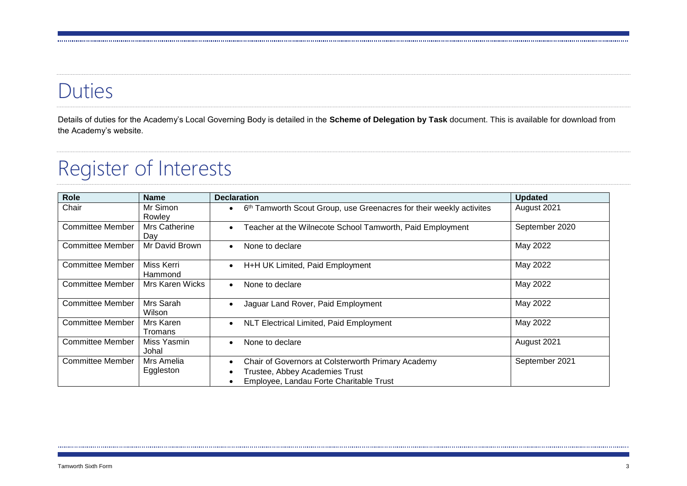## Duties

Details of duties for the Academy's Local Governing Body is detailed in the **Scheme of Delegation by Task** document. This is available for download from the Academy's website.

## Register of Interests

| Role<br><b>Name</b>     |                         | <b>Declaration</b>                                                                                                              | <b>Updated</b> |  |
|-------------------------|-------------------------|---------------------------------------------------------------------------------------------------------------------------------|----------------|--|
| Chair                   | Mr Simon<br>Rowley      | 6th Tamworth Scout Group, use Greenacres for their weekly activites<br>$\bullet$                                                | August 2021    |  |
| <b>Committee Member</b> | Mrs Catherine<br>Day    | Teacher at the Wilnecote School Tamworth, Paid Employment<br>$\bullet$                                                          | September 2020 |  |
| <b>Committee Member</b> | Mr David Brown          | None to declare<br>$\bullet$                                                                                                    | May 2022       |  |
| Committee Member        | Miss Kerri<br>Hammond   | H+H UK Limited, Paid Employment<br>$\bullet$                                                                                    | May 2022       |  |
| <b>Committee Member</b> | Mrs Karen Wicks         | None to declare<br>$\bullet$                                                                                                    | May 2022       |  |
| <b>Committee Member</b> | Mrs Sarah<br>Wilson     | Jaguar Land Rover, Paid Employment<br>$\bullet$                                                                                 | May 2022       |  |
| <b>Committee Member</b> | Mrs Karen<br>Tromans    | NLT Electrical Limited, Paid Employment<br>$\bullet$                                                                            | May 2022       |  |
| <b>Committee Member</b> | Miss Yasmin<br>Johal    | None to declare                                                                                                                 | August 2021    |  |
| <b>Committee Member</b> | Mrs Amelia<br>Eggleston | Chair of Governors at Colsterworth Primary Academy<br>Trustee, Abbey Academies Trust<br>Employee, Landau Forte Charitable Trust | September 2021 |  |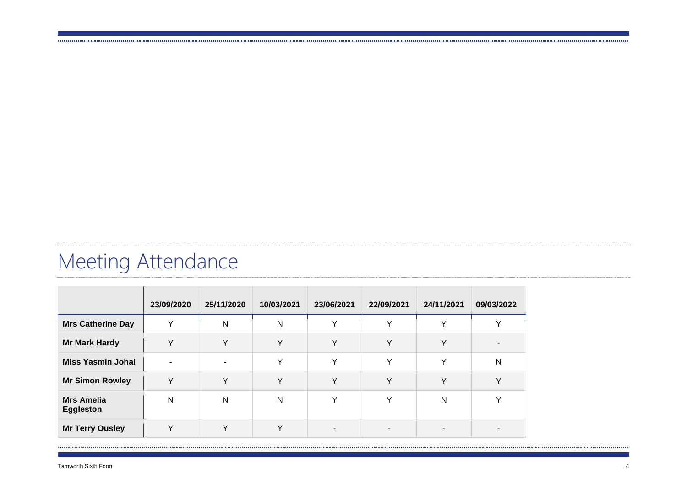# Meeting Attendance

|                                       | 23/09/2020   | 25/11/2020     | 10/03/2021   | 23/06/2021 | 22/09/2021   | 24/11/2021   | 09/03/2022 |
|---------------------------------------|--------------|----------------|--------------|------------|--------------|--------------|------------|
| <b>Mrs Catherine Day</b>              | Y            | N              | N            | Y          | $\checkmark$ | $\checkmark$ | v          |
| <b>Mr Mark Hardy</b>                  | Y            | Y              | $\vee$       | Υ          | Y            | Y            |            |
| <b>Miss Yasmin Johal</b>              |              | $\blacksquare$ | v            | Y          | $\checkmark$ | $\checkmark$ | N          |
| <b>Mr Simon Rowley</b>                | Y            | Y              | $\checkmark$ | Y          | Y            | Y            | v          |
| <b>Mrs Amelia</b><br><b>Eggleston</b> | $\mathsf{N}$ | N              | N            | Y          | Y            | $\mathsf{N}$ | v          |
| <b>Mr Terry Ousley</b>                | $\vee$       | $\vee$         | $\mathbf{v}$ |            |              |              |            |